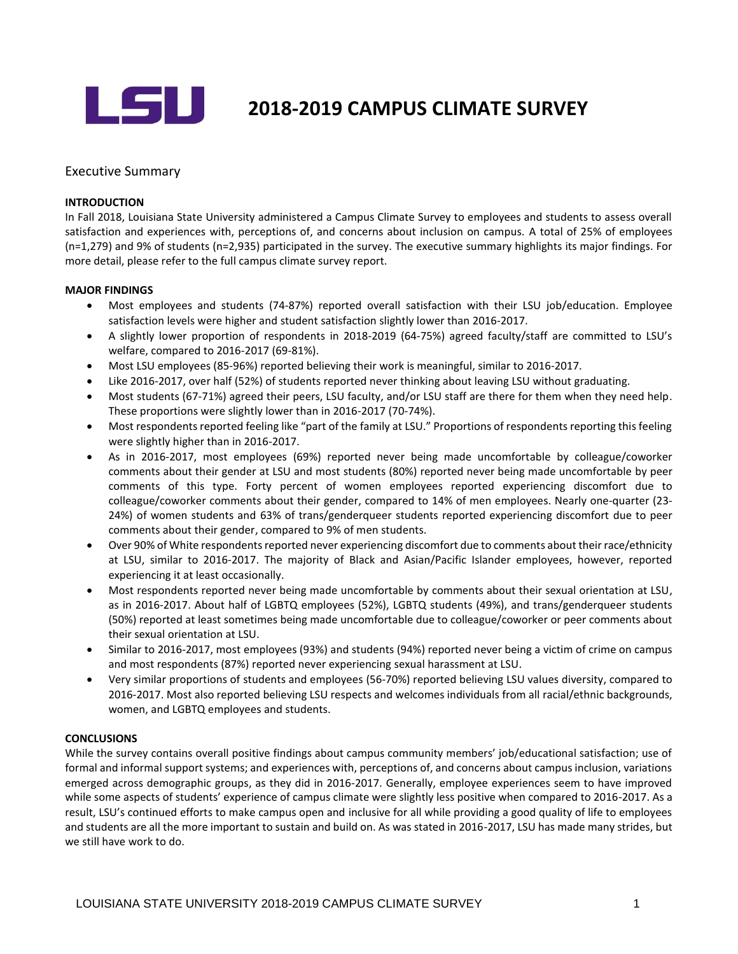

# LSU **2018-2019 CAMPUS CLIMATE SURVEY**

# Executive Summary

#### **INTRODUCTION**

In Fall 2018, Louisiana State University administered a Campus Climate Survey to employees and students to assess overall satisfaction and experiences with, perceptions of, and concerns about inclusion on campus. A total of 25% of employees (n=1,279) and 9% of students (n=2,935) participated in the survey. The executive summary highlights its major findings. For more detail, please refer to the full campus climate survey report.

# **MAJOR FINDINGS**

- Most employees and students (74-87%) reported overall satisfaction with their LSU job/education. Employee satisfaction levels were higher and student satisfaction slightly lower than 2016-2017.
- A slightly lower proportion of respondents in 2018-2019 (64-75%) agreed faculty/staff are committed to LSU's welfare, compared to 2016-2017 (69-81%).
- Most LSU employees (85-96%) reported believing their work is meaningful, similar to 2016-2017.
- Like 2016-2017, over half (52%) of students reported never thinking about leaving LSU without graduating.
- Most students (67-71%) agreed their peers, LSU faculty, and/or LSU staff are there for them when they need help. These proportions were slightly lower than in 2016-2017 (70-74%).
- Most respondents reported feeling like "part of the family at LSU." Proportions of respondents reporting this feeling were slightly higher than in 2016-2017.
- As in 2016-2017, most employees (69%) reported never being made uncomfortable by colleague/coworker comments about their gender at LSU and most students (80%) reported never being made uncomfortable by peer comments of this type. Forty percent of women employees reported experiencing discomfort due to colleague/coworker comments about their gender, compared to 14% of men employees. Nearly one-quarter (23- 24%) of women students and 63% of trans/genderqueer students reported experiencing discomfort due to peer comments about their gender, compared to 9% of men students.
- Over 90% of White respondents reported never experiencing discomfort due to comments about their race/ethnicity at LSU, similar to 2016-2017. The majority of Black and Asian/Pacific Islander employees, however, reported experiencing it at least occasionally.
- Most respondents reported never being made uncomfortable by comments about their sexual orientation at LSU, as in 2016-2017. About half of LGBTQ employees (52%), LGBTQ students (49%), and trans/genderqueer students (50%) reported at least sometimes being made uncomfortable due to colleague/coworker or peer comments about their sexual orientation at LSU.
- Similar to 2016-2017, most employees (93%) and students (94%) reported never being a victim of crime on campus and most respondents (87%) reported never experiencing sexual harassment at LSU.
- Very similar proportions of students and employees (56-70%) reported believing LSU values diversity, compared to 2016-2017. Most also reported believing LSU respects and welcomes individuals from all racial/ethnic backgrounds, women, and LGBTQ employees and students.

# **CONCLUSIONS**

 While the survey contains overall positive findings about campus community members' job/educational satisfaction; use of result, LSU's continued efforts to make campus open and inclusive for all while providing a good quality of life to employees formal and informal support systems; and experiences with, perceptions of, and concerns about campus inclusion, variations emerged across demographic groups, as they did in 2016-2017. Generally, employee experiences seem to have improved while some aspects of students' experience of campus climate were slightly less positive when compared to 2016-2017. As a and students are all the more important to sustain and build on. As was stated in 2016-2017, LSU has made many strides, but we still have work to do.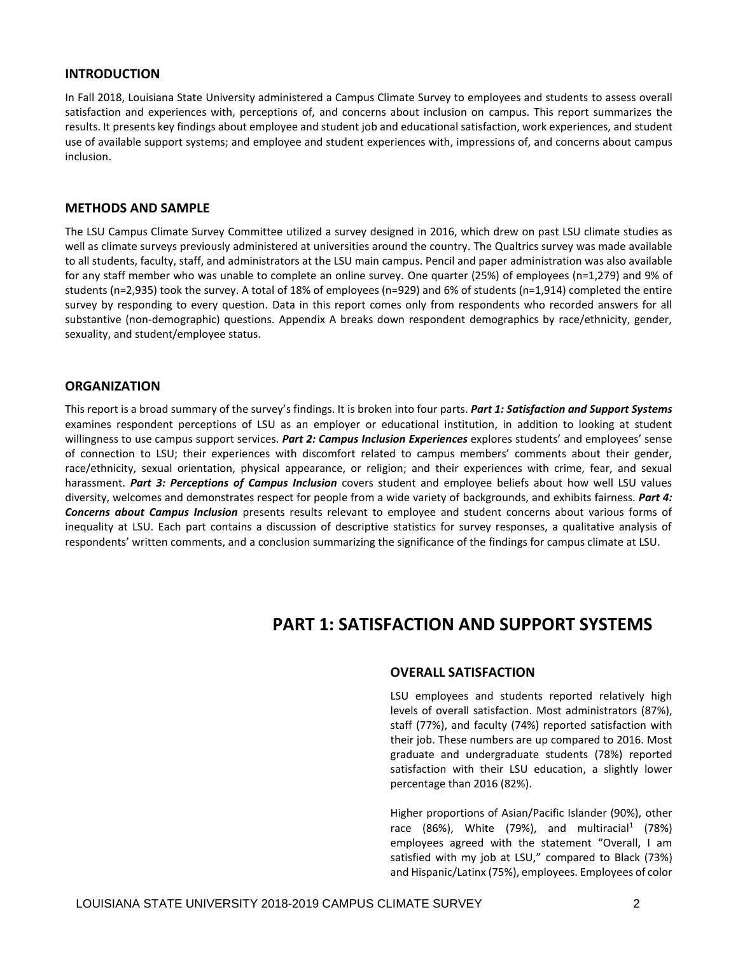# **INTRODUCTION**

In Fall 2018, Louisiana State University administered a Campus Climate Survey to employees and students to assess overall satisfaction and experiences with, perceptions of, and concerns about inclusion on campus. This report summarizes the results. It presents key findings about employee and student job and educational satisfaction, work experiences, and student use of available support systems; and employee and student experiences with, impressions of, and concerns about campus inclusion.

# **METHODS AND SAMPLE**

The LSU Campus Climate Survey Committee utilized a survey designed in 2016, which drew on past LSU climate studies as well as climate surveys previously administered at universities around the country. The Qualtrics survey was made available to all students, faculty, staff, and administrators at the LSU main campus. Pencil and paper administration was also available for any staff member who was unable to complete an online survey. One quarter (25%) of employees (n=1,279) and 9% of students (n=2,935) took the survey. A total of 18% of employees (n=929) and 6% of students (n=1,914) completed the entire survey by responding to every question. Data in this report comes only from respondents who recorded answers for all substantive (non-demographic) questions. Appendix A breaks down respondent demographics by race/ethnicity, gender, sexuality, and student/employee status.

# **ORGANIZATION**

 of connection to LSU; their experiences with discomfort related to campus members' comments about their gender, This report is a broad summary of the survey's findings. It is broken into four parts. *Part 1: Satisfaction and Support Systems*  examines respondent perceptions of LSU as an employer or educational institution, in addition to looking at student willingness to use campus support services. *Part 2: Campus Inclusion Experiences* explores students' and employees' sense race/ethnicity, sexual orientation, physical appearance, or religion; and their experiences with crime, fear, and sexual harassment. *Part 3: Perceptions of Campus Inclusion* covers student and employee beliefs about how well LSU values diversity, welcomes and demonstrates respect for people from a wide variety of backgrounds, and exhibits fairness. *Part 4: Concerns about Campus Inclusion* presents results relevant to employee and student concerns about various forms of inequality at LSU. Each part contains a discussion of descriptive statistics for survey responses, a qualitative analysis of respondents' written comments, and a conclusion summarizing the significance of the findings for campus climate at LSU.

# **PART 1: SATISFACTION AND SUPPORT SYSTEMS**

# **OVERALL SATISFACTION**

LSU employees and students reported relatively high levels of overall satisfaction. Most administrators (87%), staff (77%), and faculty (74%) reported satisfaction with their job. These numbers are up compared to 2016. Most graduate and undergraduate students (78%) reported satisfaction with their LSU education, a slightly lower percentage than 2016 (82%).

 employees agreed with the statement "Overall, I am satisfied with my job at LSU," compared to Black (73%) Higher proportions of Asian/Pacific Islander (90%), other race (86%), White (79%), and multiracial<sup>1</sup> (78%) and Hispanic/Latinx (75%), employees. Employees of color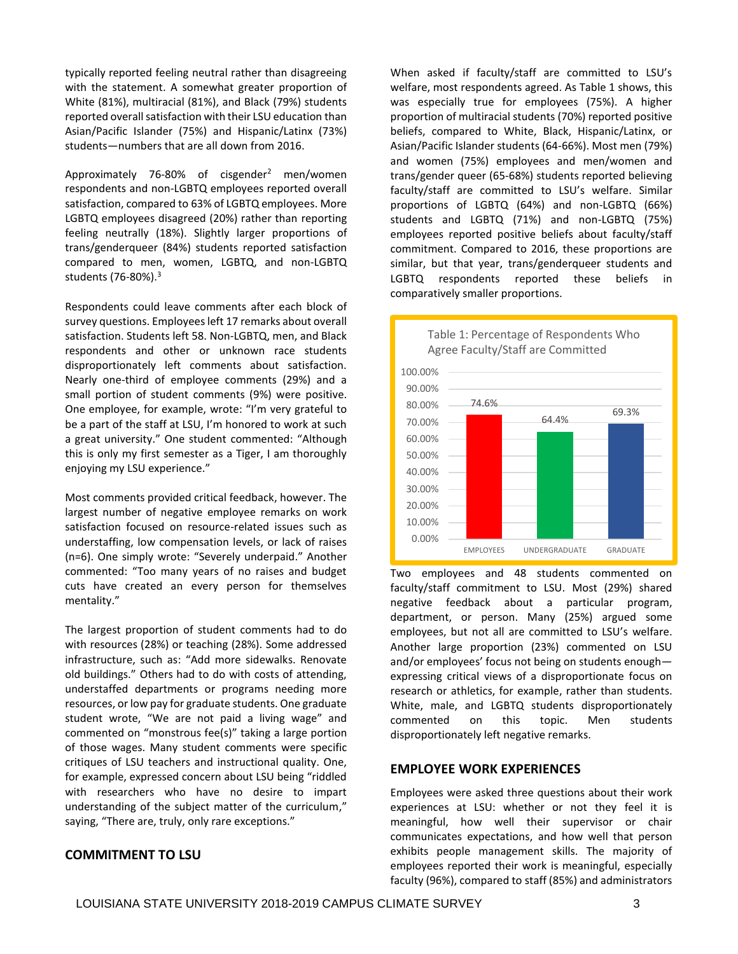typically reported feeling neutral rather than disagreeing with the statement. A somewhat greater proportion of White (81%), multiracial (81%), and Black (79%) students reported overall satisfaction with their LSU education than Asian/Pacific Islander (75%) and Hispanic/Latinx (73%) students—numbers that are all down from 2016.

Approximately 76-80% of cisgender<sup>2</sup> men/women respondents and non-LGBTQ employees reported overall satisfaction, compared to 63% of LGBTQ employees. More LGBTQ employees disagreed (20%) rather than reporting feeling neutrally (18%). Slightly larger proportions of trans/genderqueer (84%) students reported satisfaction compared to men, women, LGBTQ, and non-LGBTQ students (76-80%).3

 One employee, for example, wrote: "I'm very grateful to be a part of the staff at LSU, I'm honored to work at such Respondents could leave comments after each block of survey questions. Employees left 17 remarks about overall satisfaction. Students left 58. Non-LGBTQ, men, and Black respondents and other or unknown race students disproportionately left comments about satisfaction. Nearly one-third of employee comments (29%) and a small portion of student comments (9%) were positive. a great university." One student commented: "Although this is only my first semester as a Tiger, I am thoroughly enjoying my LSU experience."

 commented: "Too many years of no raises and budget Most comments provided critical feedback, however. The largest number of negative employee remarks on work satisfaction focused on resource-related issues such as understaffing, low compensation levels, or lack of raises (n=6). One simply wrote: "Severely underpaid." Another cuts have created an every person for themselves mentality."

 infrastructure, such as: "Add more sidewalks. Renovate old buildings." Others had to do with costs of attending, student wrote, "We are not paid a living wage" and commented on "monstrous fee(s)" taking a large portion for example, expressed concern about LSU being "riddled The largest proportion of student comments had to do with resources (28%) or teaching (28%). Some addressed understaffed departments or programs needing more resources, or low pay for graduate students. One graduate of those wages. Many student comments were specific critiques of LSU teachers and instructional quality. One, with researchers who have no desire to impart understanding of the subject matter of the curriculum," saying, "There are, truly, only rare exceptions."

# **COMMITMENT TO LSU**

 When asked if faculty/staff are committed to LSU's welfare, most respondents agreed. As Table 1 shows, this was especially true for employees (75%). A higher proportion of multiracial students (70%) reported positive beliefs, compared to White, Black, Hispanic/Latinx, or Asian/Pacific Islander students (64-66%). Most men (79%) and women (75%) employees and men/women and trans/gender queer (65-68%) students reported believing faculty/staff are committed to LSU's welfare. Similar proportions of LGBTQ (64%) and non-LGBTQ (66%) students and LGBTQ (71%) and non-LGBTQ (75%) employees reported positive beliefs about faculty/staff commitment. Compared to 2016, these proportions are similar, but that year, trans/genderqueer students and LGBTQ respondents reported these beliefs in comparatively smaller proportions.



 employees, but not all are committed to LSU's welfare. Two employees and 48 students commented on faculty/staff commitment to LSU. Most (29%) shared negative feedback about a particular program, department, or person. Many (25%) argued some Another large proportion (23%) commented on LSU and/or employees' focus not being on students enough expressing critical views of a disproportionate focus on research or athletics, for example, rather than students. White, male, and LGBTQ students disproportionately commented on this topic. Men students disproportionately left negative remarks.

#### **EMPLOYEE WORK EXPERIENCES**

Employees were asked three questions about their work experiences at LSU: whether or not they feel it is meaningful, how well their supervisor or chair communicates expectations, and how well that person exhibits people management skills. The majority of employees reported their work is meaningful, especially faculty (96%), compared to staff (85%) and administrators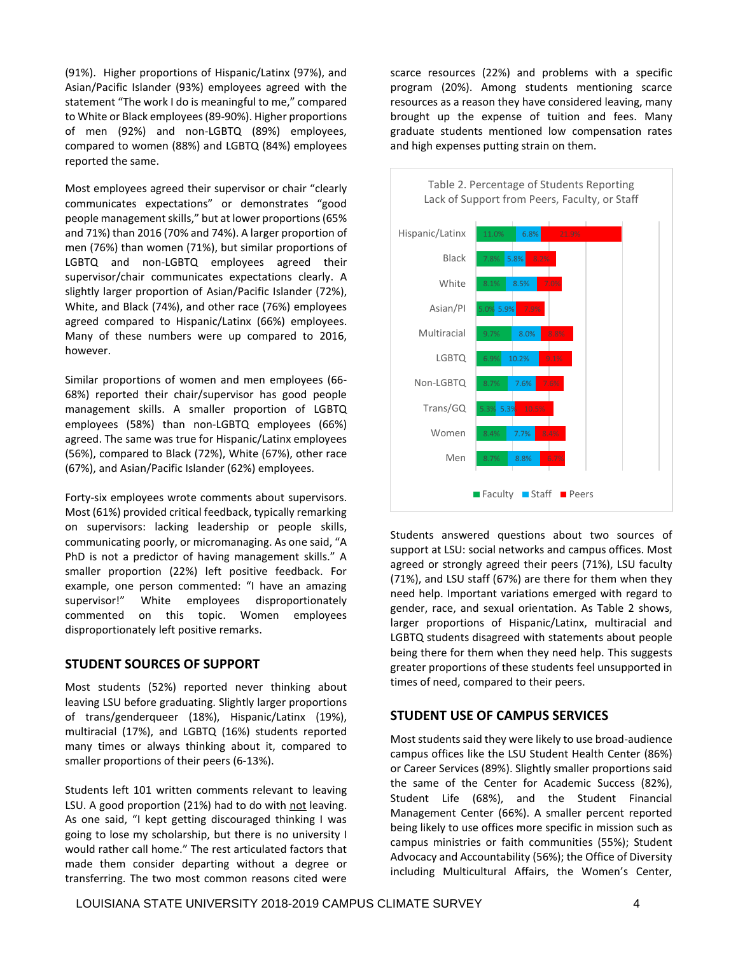statement "The work I do is meaningful to me," compared (91%). Higher proportions of Hispanic/Latinx (97%), and Asian/Pacific Islander (93%) employees agreed with the to White or Black employees (89-90%). Higher proportions of men (92%) and non-LGBTQ (89%) employees, compared to women (88%) and LGBTQ (84%) employees reported the same.

 communicates expectations" or demonstrates "good Most employees agreed their supervisor or chair "clearly people management skills," but at lower proportions (65% and 71%) than 2016 (70% and 74%). A larger proportion of men (76%) than women (71%), but similar proportions of LGBTQ and non-LGBTQ employees agreed their supervisor/chair communicates expectations clearly. A slightly larger proportion of Asian/Pacific Islander (72%), White, and Black (74%), and other race (76%) employees agreed compared to Hispanic/Latinx (66%) employees. Many of these numbers were up compared to 2016, however.

Similar proportions of women and men employees (66- 68%) reported their chair/supervisor has good people management skills. A smaller proportion of LGBTQ employees (58%) than non-LGBTQ employees (66%) agreed. The same was true for Hispanic/Latinx employees (56%), compared to Black (72%), White (67%), other race (67%), and Asian/Pacific Islander (62%) employees.

 communicating poorly, or micromanaging. As one said, "A PhD is not a predictor of having management skills." A example, one person commented: "I have an amazing Forty-six employees wrote comments about supervisors. Most (61%) provided critical feedback, typically remarking on supervisors: lacking leadership or people skills, smaller proportion (22%) left positive feedback. For supervisor!" White employees disproportionately commented on this topic. Women employees disproportionately left positive remarks.

#### **STUDENT SOURCES OF SUPPORT**

Most students (52%) reported never thinking about leaving LSU before graduating. Slightly larger proportions of trans/genderqueer (18%), Hispanic/Latinx (19%), multiracial (17%), and LGBTQ (16%) students reported many times or always thinking about it, compared to smaller proportions of their peers (6-13%).

 As one said, "I kept getting discouraged thinking I was Students left 101 written comments relevant to leaving LSU. A good proportion (21%) had to do with not leaving. going to lose my scholarship, but there is no university I would rather call home." The rest articulated factors that made them consider departing without a degree or transferring. The two most common reasons cited were

scarce resources (22%) and problems with a specific program (20%). Among students mentioning scarce resources as a reason they have considered leaving, many brought up the expense of tuition and fees. Many graduate students mentioned low compensation rates and high expenses putting strain on them.



Students answered questions about two sources of support at LSU: social networks and campus offices. Most agreed or strongly agreed their peers (71%), LSU faculty (71%), and LSU staff (67%) are there for them when they need help. Important variations emerged with regard to gender, race, and sexual orientation. As Table 2 shows, larger proportions of Hispanic/Latinx, multiracial and LGBTQ students disagreed with statements about people being there for them when they need help. This suggests greater proportions of these students feel unsupported in times of need, compared to their peers.

# **STUDENT USE OF CAMPUS SERVICES**

 including Multicultural Affairs, the Women's Center, Most students said they were likely to use broad-audience campus offices like the LSU Student Health Center (86%) or Career Services (89%). Slightly smaller proportions said the same of the Center for Academic Success (82%), Student Life (68%), and the Student Financial Management Center (66%). A smaller percent reported being likely to use offices more specific in mission such as campus ministries or faith communities (55%); Student Advocacy and Accountability (56%); the Office of Diversity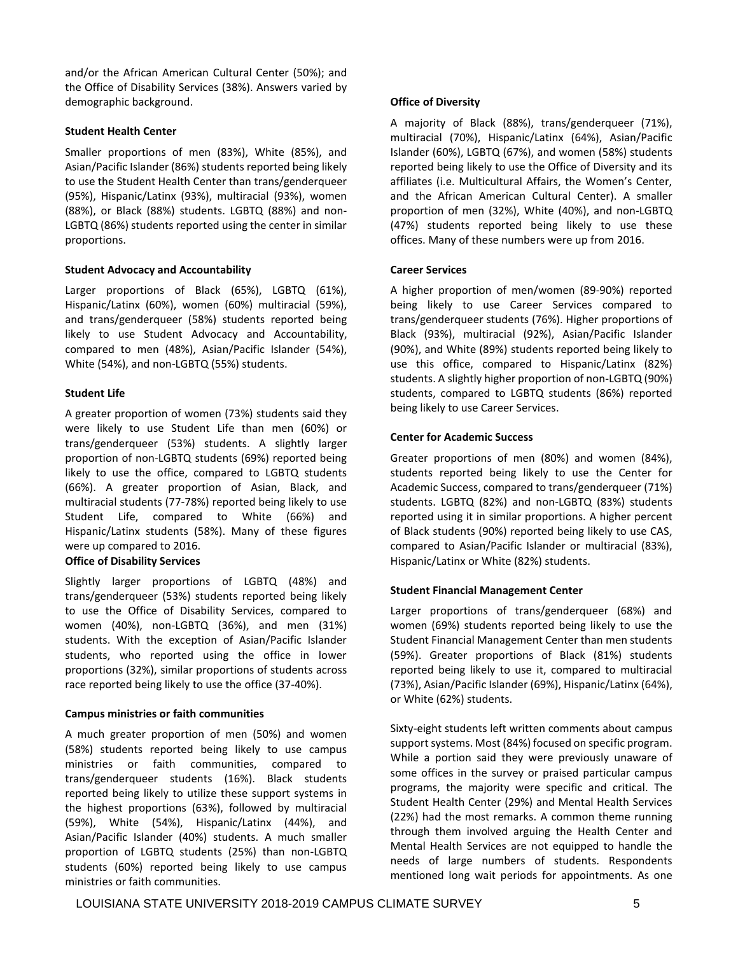and/or the African American Cultural Center (50%); and the Office of Disability Services (38%). Answers varied by demographic background.

# **Student Health Center**

Smaller proportions of men (83%), White (85%), and Asian/Pacific Islander (86%) students reported being likely to use the Student Health Center than trans/genderqueer (95%), Hispanic/Latinx (93%), multiracial (93%), women (88%), or Black (88%) students. LGBTQ (88%) and non-LGBTQ (86%) students reported using the center in similar proportions.

# **Student Advocacy and Accountability**

Larger proportions of Black (65%), LGBTQ (61%), Hispanic/Latinx (60%), women (60%) multiracial (59%), and trans/genderqueer (58%) students reported being likely to use Student Advocacy and Accountability, compared to men (48%), Asian/Pacific Islander (54%), White (54%), and non-LGBTQ (55%) students.

# **Student Life**

A greater proportion of women (73%) students said they were likely to use Student Life than men (60%) or trans/genderqueer (53%) students. A slightly larger proportion of non-LGBTQ students (69%) reported being likely to use the office, compared to LGBTQ students (66%). A greater proportion of Asian, Black, and multiracial students (77-78%) reported being likely to use Student Life, compared to White (66%) and Hispanic/Latinx students (58%). Many of these figures were up compared to 2016.

#### **Office of Disability Services**

Slightly larger proportions of LGBTQ (48%) and trans/genderqueer (53%) students reported being likely to use the Office of Disability Services, compared to women (40%), non-LGBTQ (36%), and men (31%) students. With the exception of Asian/Pacific Islander students, who reported using the office in lower proportions (32%), similar proportions of students across race reported being likely to use the office (37-40%).

#### **Campus ministries or faith communities**

A much greater proportion of men (50%) and women (58%) students reported being likely to use campus ministries or faith communities, compared to trans/genderqueer students (16%). Black students reported being likely to utilize these support systems in the highest proportions (63%), followed by multiracial (59%), White (54%), Hispanic/Latinx (44%), and Asian/Pacific Islander (40%) students. A much smaller proportion of LGBTQ students (25%) than non-LGBTQ students (60%) reported being likely to use campus ministries or faith communities.

# **Office of Diversity**

 affiliates (i.e. Multicultural Affairs, the Women's Center, A majority of Black (88%), trans/genderqueer (71%), multiracial (70%), Hispanic/Latinx (64%), Asian/Pacific Islander (60%), LGBTQ (67%), and women (58%) students reported being likely to use the Office of Diversity and its and the African American Cultural Center). A smaller proportion of men (32%), White (40%), and non-LGBTQ (47%) students reported being likely to use these offices. Many of these numbers were up from 2016.

# **Career Services**

A higher proportion of men/women (89-90%) reported being likely to use Career Services compared to trans/genderqueer students (76%). Higher proportions of Black (93%), multiracial (92%), Asian/Pacific Islander (90%), and White (89%) students reported being likely to use this office, compared to Hispanic/Latinx (82%) students. A slightly higher proportion of non-LGBTQ (90%) students, compared to LGBTQ students (86%) reported being likely to use Career Services.

# **Center for Academic Success**

Greater proportions of men (80%) and women (84%), students reported being likely to use the Center for Academic Success, compared to trans/genderqueer (71%) students. LGBTQ (82%) and non-LGBTQ (83%) students reported using it in similar proportions. A higher percent of Black students (90%) reported being likely to use CAS, compared to Asian/Pacific Islander or multiracial (83%), Hispanic/Latinx or White (82%) students.

#### **Student Financial Management Center**

Larger proportions of trans/genderqueer (68%) and women (69%) students reported being likely to use the Student Financial Management Center than men students (59%). Greater proportions of Black (81%) students reported being likely to use it, compared to multiracial (73%), Asian/Pacific Islander (69%), Hispanic/Latinx (64%), or White (62%) students.

Sixty-eight students left written comments about campus support systems. Most (84%) focused on specific program. While a portion said they were previously unaware of some offices in the survey or praised particular campus programs, the majority were specific and critical. The Student Health Center (29%) and Mental Health Services (22%) had the most remarks. A common theme running through them involved arguing the Health Center and Mental Health Services are not equipped to handle the needs of large numbers of students. Respondents mentioned long wait periods for appointments. As one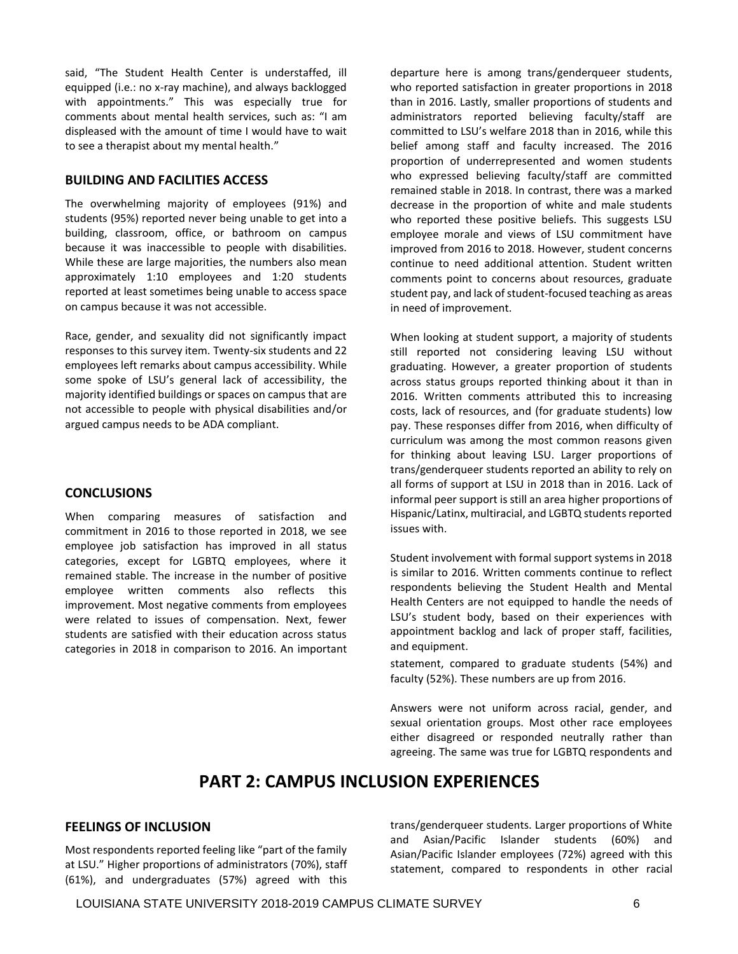with appointments." This was especially true for comments about mental health services, such as: "I am said, "The Student Health Center is understaffed, ill equipped (i.e.: no x-ray machine), and always backlogged displeased with the amount of time I would have to wait to see a therapist about my mental health."

# **BUILDING AND FACILITIES ACCESS**

The overwhelming majority of employees (91%) and students (95%) reported never being unable to get into a building, classroom, office, or bathroom on campus because it was inaccessible to people with disabilities. While these are large majorities, the numbers also mean approximately 1:10 employees and 1:20 students reported at least sometimes being unable to access space on campus because it was not accessible.

 some spoke of LSU's general lack of accessibility, the Race, gender, and sexuality did not significantly impact responses to this survey item. Twenty-six students and 22 employees left remarks about campus accessibility. While majority identified buildings or spaces on campus that are not accessible to people with physical disabilities and/or argued campus needs to be ADA compliant.

# **CONCLUSIONS**

When comparing measures of satisfaction and commitment in 2016 to those reported in 2018, we see employee job satisfaction has improved in all status categories, except for LGBTQ employees, where it remained stable. The increase in the number of positive employee written comments also reflects this improvement. Most negative comments from employees were related to issues of compensation. Next, fewer students are satisfied with their education across status categories in 2018 in comparison to 2016. An important

 committed to LSU's welfare 2018 than in 2016, while this departure here is among trans/genderqueer students, who reported satisfaction in greater proportions in 2018 than in 2016. Lastly, smaller proportions of students and administrators reported believing faculty/staff are belief among staff and faculty increased. The 2016 proportion of underrepresented and women students who expressed believing faculty/staff are committed remained stable in 2018. In contrast, there was a marked decrease in the proportion of white and male students who reported these positive beliefs. This suggests LSU employee morale and views of LSU commitment have improved from 2016 to 2018. However, student concerns continue to need additional attention. Student written comments point to concerns about resources, graduate student pay, and lack of student-focused teaching as areas in need of improvement.

When looking at student support, a majority of students still reported not considering leaving LSU without graduating. However, a greater proportion of students across status groups reported thinking about it than in 2016. Written comments attributed this to increasing costs, lack of resources, and (for graduate students) low pay. These responses differ from 2016, when difficulty of curriculum was among the most common reasons given for thinking about leaving LSU. Larger proportions of trans/genderqueer students reported an ability to rely on all forms of support at LSU in 2018 than in 2016. Lack of informal peer support is still an area higher proportions of Hispanic/Latinx, multiracial, and LGBTQ students reported issues with.

Student involvement with formal support systems in 2018 is similar to 2016. Written comments continue to reflect respondents believing the Student Health and Mental Health Centers are not equipped to handle the needs of LSU's student body, based on their experiences with appointment backlog and lack of proper staff, facilities, and equipment.

statement, compared to graduate students (54%) and faculty (52%). These numbers are up from 2016.

Answers were not uniform across racial, gender, and sexual orientation groups. Most other race employees either disagreed or responded neutrally rather than agreeing. The same was true for LGBTQ respondents and

# **PART 2: CAMPUS INCLUSION EXPERIENCES**

Most respondents reported feeling like "part of the family Most respondents reported feeling like "part of the family and a Asian/Pacific Islander employees (72%) agreed with this at LSU." Higher proportions of administrators (70%), staff and the tracteristic compared to responden (61%), and undergraduates (57%) agreed with this

**FEELINGS OF INCLUSION trans/genderqueer students. Larger proportions of White**<br>and Asian/Pacific Islander students (60%) and Asian/Pacific Islander students (60%) statement, compared to respondents in other racial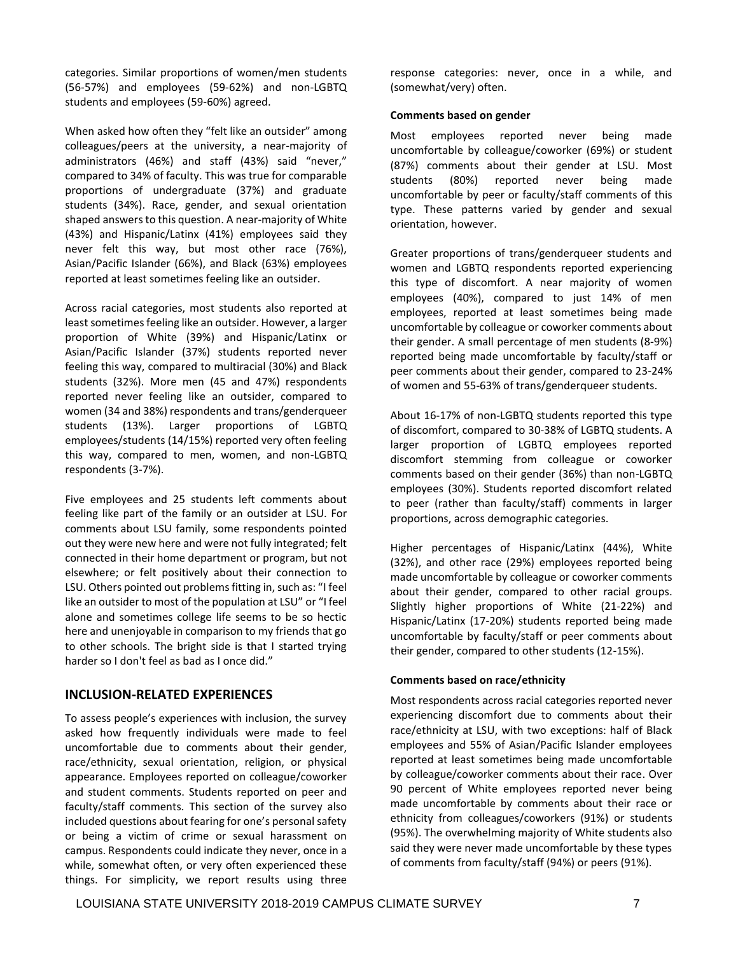categories. Similar proportions of women/men students (56-57%) and employees (59-62%) and non-LGBTQ students and employees (59-60%) agreed.

When asked how often they "felt like an outsider" among colleagues/peers at the university, a near-majority of administrators (46%) and staff (43%) said "never," compared to 34% of faculty. This was true for comparable proportions of undergraduate (37%) and graduate students (34%). Race, gender, and sexual orientation shaped answers to this question. A near-majority of White (43%) and Hispanic/Latinx (41%) employees said they never felt this way, but most other race (76%), Asian/Pacific Islander (66%), and Black (63%) employees reported at least sometimes feeling like an outsider.

Across racial categories, most students also reported at least sometimes feeling like an outsider. However, a larger proportion of White (39%) and Hispanic/Latinx or Asian/Pacific Islander (37%) students reported never feeling this way, compared to multiracial (30%) and Black students (32%). More men (45 and 47%) respondents reported never feeling like an outsider, compared to women (34 and 38%) respondents and trans/genderqueer students (13%). Larger proportions of LGBTQ employees/students (14/15%) reported very often feeling this way, compared to men, women, and non-LGBTQ respondents (3-7%).

LSU. Others pointed out problems fitting in, such as: "I feel Five employees and 25 students left comments about feeling like part of the family or an outsider at LSU. For comments about LSU family, some respondents pointed out they were new here and were not fully integrated; felt connected in their home department or program, but not elsewhere; or felt positively about their connection to like an outsider to most of the population at LSU" or "I feel alone and sometimes college life seems to be so hectic here and unenjoyable in comparison to my friends that go to other schools. The bright side is that I started trying harder so I don't feel as bad as I once did."

# **INCLUSION-RELATED EXPERIENCES**

 To assess people's experiences with inclusion, the survey included questions about fearing for one's personal safety asked how frequently individuals were made to feel uncomfortable due to comments about their gender, race/ethnicity, sexual orientation, religion, or physical appearance. Employees reported on colleague/coworker and student comments. Students reported on peer and faculty/staff comments. This section of the survey also or being a victim of crime or sexual harassment on campus. Respondents could indicate they never, once in a while, somewhat often, or very often experienced these things. For simplicity, we report results using three response categories: never, once in a while, and (somewhat/very) often.

#### **Comments based on gender**

Most employees reported never being made uncomfortable by colleague/coworker (69%) or student (87%) comments about their gender at LSU. Most students (80%) reported never being made uncomfortable by peer or faculty/staff comments of this type. These patterns varied by gender and sexual orientation, however.

Greater proportions of trans/genderqueer students and women and LGBTQ respondents reported experiencing this type of discomfort. A near majority of women employees (40%), compared to just 14% of men employees, reported at least sometimes being made uncomfortable by colleague or coworker comments about their gender. A small percentage of men students (8-9%) reported being made uncomfortable by faculty/staff or peer comments about their gender, compared to 23-24% of women and 55-63% of trans/genderqueer students.

About 16-17% of non-LGBTQ students reported this type of discomfort, compared to 30-38% of LGBTQ students. A larger proportion of LGBTQ employees reported discomfort stemming from colleague or coworker comments based on their gender (36%) than non-LGBTQ employees (30%). Students reported discomfort related to peer (rather than faculty/staff) comments in larger proportions, across demographic categories.

Higher percentages of Hispanic/Latinx (44%), White (32%), and other race (29%) employees reported being made uncomfortable by colleague or coworker comments about their gender, compared to other racial groups. Slightly higher proportions of White (21-22%) and Hispanic/Latinx (17-20%) students reported being made uncomfortable by faculty/staff or peer comments about their gender, compared to other students (12-15%).

#### **Comments based on race/ethnicity**

Most respondents across racial categories reported never experiencing discomfort due to comments about their race/ethnicity at LSU, with two exceptions: half of Black employees and 55% of Asian/Pacific Islander employees reported at least sometimes being made uncomfortable by colleague/coworker comments about their race. Over 90 percent of White employees reported never being made uncomfortable by comments about their race or ethnicity from colleagues/coworkers (91%) or students (95%). The overwhelming majority of White students also said they were never made uncomfortable by these types of comments from faculty/staff (94%) or peers (91%).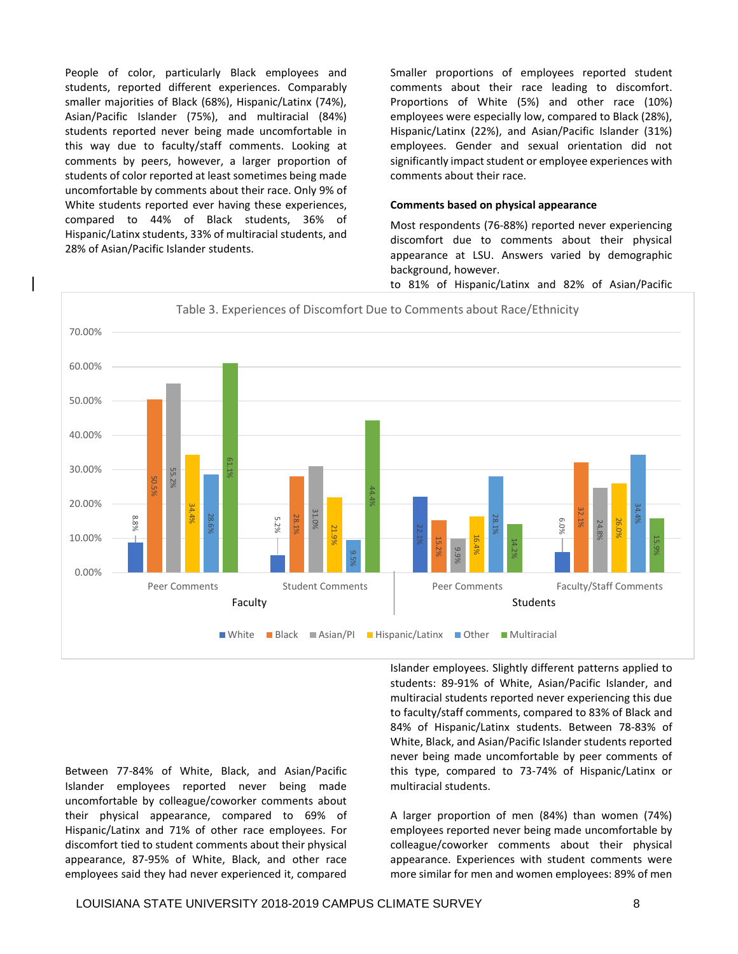People of color, particularly Black employees and students, reported different experiences. Comparably smaller majorities of Black (68%), Hispanic/Latinx (74%), Asian/Pacific Islander (75%), and multiracial (84%) students reported never being made uncomfortable in this way due to faculty/staff comments. Looking at comments by peers, however, a larger proportion of students of color reported at least sometimes being made uncomfortable by comments about their race. Only 9% of White students reported ever having these experiences, compared to 44% of Black students, 36% of Hispanic/Latinx students, 33% of multiracial students, and 28% of Asian/Pacific Islander students.

Smaller proportions of employees reported student comments about their race leading to discomfort. Proportions of White (5%) and other race (10%) employees were especially low, compared to Black (28%), Hispanic/Latinx (22%), and Asian/Pacific Islander (31%) employees. Gender and sexual orientation did not significantly impact student or employee experiences with comments about their race.

# **Comments based on physical appearance**

Most respondents (76-88%) reported never experiencing discomfort due to comments about their physical appearance at LSU. Answers varied by demographic background, however.

to 81% of Hispanic/Latinx and 82% of Asian/Pacific



Between 77-84% of White, Black, and Asian/Pacific Islander employees reported never being made uncomfortable by colleague/coworker comments about their physical appearance, compared to 69% of Hispanic/Latinx and 71% of other race employees. For discomfort tied to student comments about their physical appearance, 87-95% of White, Black, and other race employees said they had never experienced it, compared

Islander employees. Slightly different patterns applied to students: 89-91% of White, Asian/Pacific Islander, and multiracial students reported never experiencing this due to faculty/staff comments, compared to 83% of Black and 84% of Hispanic/Latinx students. Between 78-83% of White, Black, and Asian/Pacific Islander students reported never being made uncomfortable by peer comments of this type, compared to 73-74% of Hispanic/Latinx or multiracial students.

A larger proportion of men (84%) than women (74%) employees reported never being made uncomfortable by colleague/coworker comments about their physical appearance. Experiences with student comments were more similar for men and women employees: 89% of men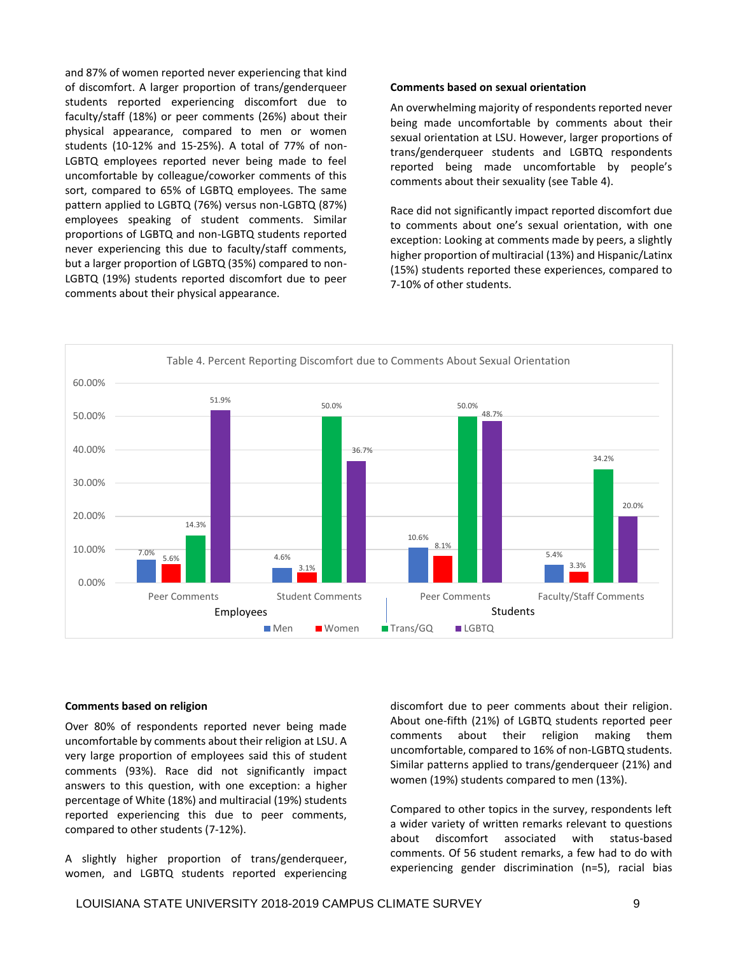and 87% of women reported never experiencing that kind of discomfort. A larger proportion of trans/genderqueer students reported experiencing discomfort due to faculty/staff (18%) or peer comments (26%) about their physical appearance, compared to men or women students (10-12% and 15-25%). A total of 77% of non-LGBTQ employees reported never being made to feel uncomfortable by colleague/coworker comments of this sort, compared to 65% of LGBTQ employees. The same pattern applied to LGBTQ (76%) versus non-LGBTQ (87%) employees speaking of student comments. Similar proportions of LGBTQ and non-LGBTQ students reported never experiencing this due to faculty/staff comments, but a larger proportion of LGBTQ (35%) compared to non-LGBTQ (19%) students reported discomfort due to peer comments about their physical appearance.

#### **Comments based on sexual orientation**

 reported being made uncomfortable by people's An overwhelming majority of respondents reported never being made uncomfortable by comments about their sexual orientation at LSU. However, larger proportions of trans/genderqueer students and LGBTQ respondents comments about their sexuality (see Table 4).

 to comments about one's sexual orientation, with one Race did not significantly impact reported discomfort due exception: Looking at comments made by peers, a slightly higher proportion of multiracial (13%) and Hispanic/Latinx (15%) students reported these experiences, compared to 7-10% of other students.



#### **Comments based on religion**

Over 80% of respondents reported never being made uncomfortable by comments about their religion at LSU. A very large proportion of employees said this of student comments (93%). Race did not significantly impact answers to this question, with one exception: a higher percentage of White (18%) and multiracial (19%) students reported experiencing this due to peer comments, compared to other students (7-12%).

A slightly higher proportion of trans/genderqueer, women, and LGBTQ students reported experiencing discomfort due to peer comments about their religion. About one-fifth (21%) of LGBTQ students reported peer comments about their religion making them uncomfortable, compared to 16% of non-LGBTQ students. Similar patterns applied to trans/genderqueer (21%) and women (19%) students compared to men (13%).

Compared to other topics in the survey, respondents left a wider variety of written remarks relevant to questions about discomfort associated with status-based comments. Of 56 student remarks, a few had to do with experiencing gender discrimination (n=5), racial bias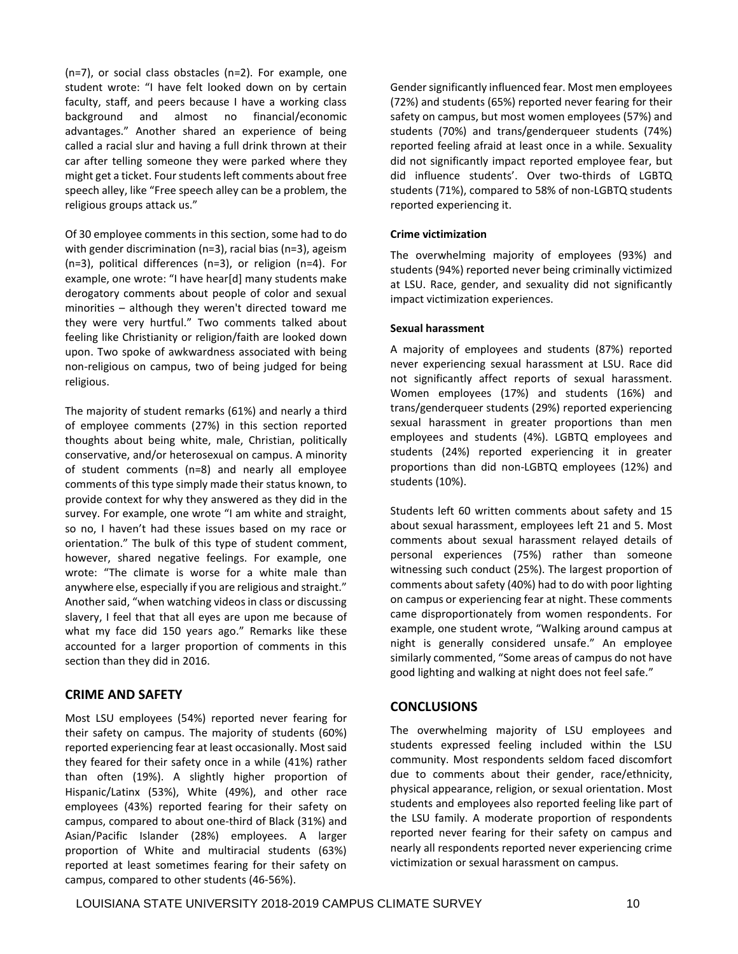student wrote: "I have felt looked down on by certain advantages." Another shared an experience of being speech alley, like "Free speech alley can be a problem, the (n=7), or social class obstacles (n=2). For example, one faculty, staff, and peers because I have a working class background and almost no financial/economic called a racial slur and having a full drink thrown at their car after telling someone they were parked where they might get a ticket. Four students left comments about free religious groups attack us."

Of 30 employee comments in this section, some had to do with gender discrimination (n=3), racial bias (n=3), ageism (n=3), political differences (n=3), or religion (n=4). For example, one wrote: "I have hear[d] many students make derogatory comments about people of color and sexual minorities – although they weren't directed toward me they were very hurtful." Two comments talked about feeling like Christianity or religion/faith are looked down upon. Two spoke of awkwardness associated with being non-religious on campus, two of being judged for being religious.

 survey. For example, one wrote "I am white and straight, so no, I haven't had these issues based on my race or orientation." The bulk of this type of student comment, wrote: "The climate is worse for a white male than anywhere else, especially if you are religious and straight." The majority of student remarks (61%) and nearly a third of employee comments (27%) in this section reported thoughts about being white, male, Christian, politically conservative, and/or heterosexual on campus. A minority of student comments (n=8) and nearly all employee comments of this type simply made their status known, to provide context for why they answered as they did in the however, shared negative feelings. For example, one Another said, "when watching videos in class or discussing slavery, I feel that that all eyes are upon me because of what my face did 150 years ago." Remarks like these accounted for a larger proportion of comments in this section than they did in 2016.

# **CRIME AND SAFETY**

Most LSU employees (54%) reported never fearing for their safety on campus. The majority of students (60%) reported experiencing fear at least occasionally. Most said they feared for their safety once in a while (41%) rather than often (19%). A slightly higher proportion of Hispanic/Latinx (53%), White (49%), and other race employees (43%) reported fearing for their safety on campus, compared to about one-third of Black (31%) and Asian/Pacific Islander (28%) employees. A larger proportion of White and multiracial students (63%) reported at least sometimes fearing for their safety on campus, compared to other students (46-56%).

 did influence students'. Over two-thirds of LGBTQ Gender significantly influenced fear. Most men employees (72%) and students (65%) reported never fearing for their safety on campus, but most women employees (57%) and students (70%) and trans/genderqueer students (74%) reported feeling afraid at least once in a while. Sexuality did not significantly impact reported employee fear, but students (71%), compared to 58% of non-LGBTQ students reported experiencing it.

# **Crime victimization**

The overwhelming majority of employees (93%) and students (94%) reported never being criminally victimized at LSU. Race, gender, and sexuality did not significantly impact victimization experiences.

# **Sexual harassment**

A majority of employees and students (87%) reported never experiencing sexual harassment at LSU. Race did not significantly affect reports of sexual harassment. Women employees (17%) and students (16%) and trans/genderqueer students (29%) reported experiencing sexual harassment in greater proportions than men employees and students (4%). LGBTQ employees and students (24%) reported experiencing it in greater proportions than did non-LGBTQ employees (12%) and students (10%).

 night is generally considered unsafe." An employee Students left 60 written comments about safety and 15 about sexual harassment, employees left 21 and 5. Most comments about sexual harassment relayed details of personal experiences (75%) rather than someone witnessing such conduct (25%). The largest proportion of comments about safety (40%) had to do with poor lighting on campus or experiencing fear at night. These comments came disproportionately from women respondents. For example, one student wrote, "Walking around campus at similarly commented, "Some areas of campus do not have good lighting and walking at night does not feel safe."

# **CONCLUSIONS**

The overwhelming majority of LSU employees and students expressed feeling included within the LSU community. Most respondents seldom faced discomfort due to comments about their gender, race/ethnicity, physical appearance, religion, or sexual orientation. Most students and employees also reported feeling like part of the LSU family. A moderate proportion of respondents reported never fearing for their safety on campus and nearly all respondents reported never experiencing crime victimization or sexual harassment on campus.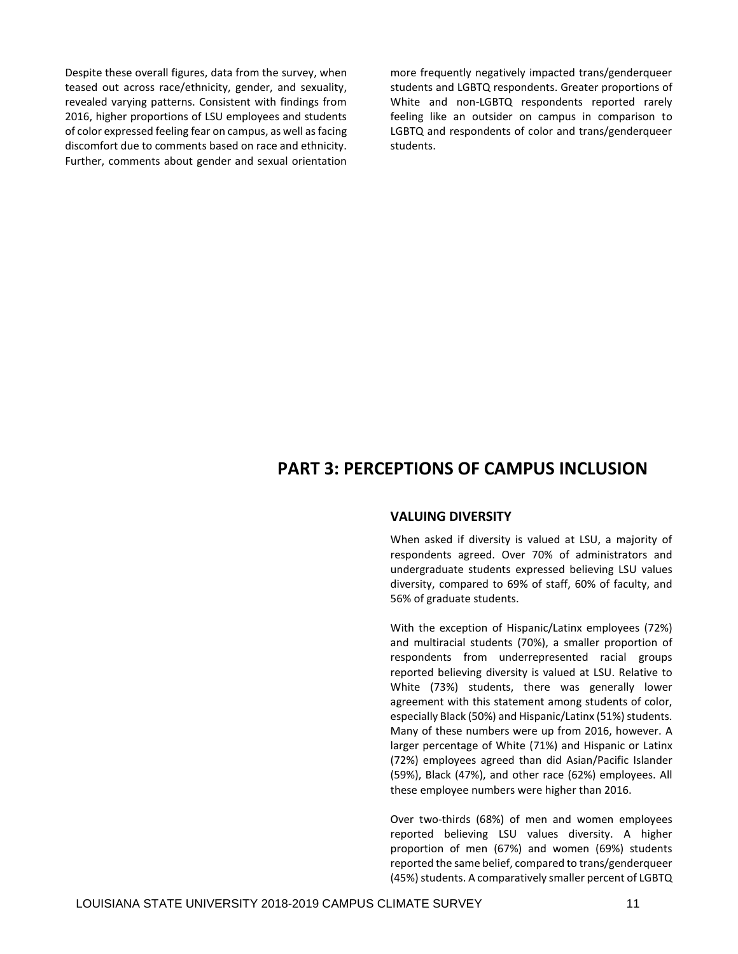Despite these overall figures, data from the survey, when teased out across race/ethnicity, gender, and sexuality, revealed varying patterns. Consistent with findings from 2016, higher proportions of LSU employees and students of color expressed feeling fear on campus, as well as facing discomfort due to comments based on race and ethnicity. Further, comments about gender and sexual orientation more frequently negatively impacted trans/genderqueer students and LGBTQ respondents. Greater proportions of White and non-LGBTQ respondents reported rarely feeling like an outsider on campus in comparison to LGBTQ and respondents of color and trans/genderqueer students.

# **PART 3: PERCEPTIONS OF CAMPUS INCLUSION**

# **VALUING DIVERSITY**

When asked if diversity is valued at LSU, a majority of respondents agreed. Over 70% of administrators and undergraduate students expressed believing LSU values diversity, compared to 69% of staff, 60% of faculty, and 56% of graduate students.

With the exception of Hispanic/Latinx employees (72%) and multiracial students (70%), a smaller proportion of respondents from underrepresented racial groups reported believing diversity is valued at LSU. Relative to White (73%) students, there was generally lower agreement with this statement among students of color, especially Black (50%) and Hispanic/Latinx (51%) students. Many of these numbers were up from 2016, however. A larger percentage of White (71%) and Hispanic or Latinx (72%) employees agreed than did Asian/Pacific Islander (59%), Black (47%), and other race (62%) employees. All these employee numbers were higher than 2016.

Over two-thirds (68%) of men and women employees reported believing LSU values diversity. A higher proportion of men (67%) and women (69%) students reported the same belief, compared to trans/genderqueer (45%) students. A comparatively smaller percent of LGBTQ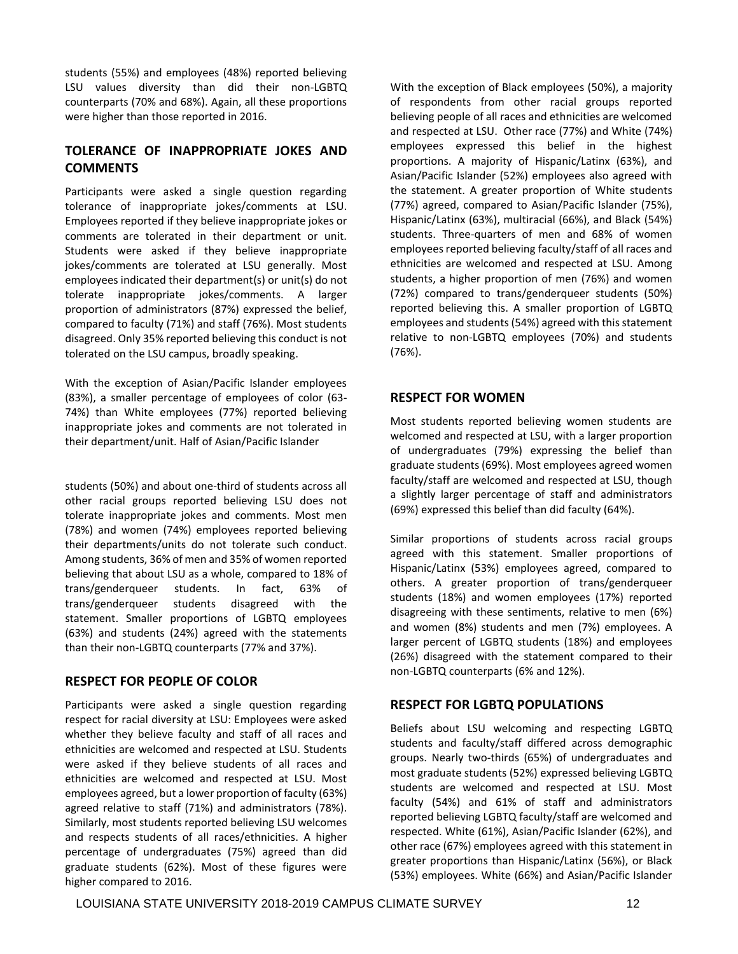students (55%) and employees (48%) reported believing LSU values diversity than did their non-LGBTQ counterparts (70% and 68%). Again, all these proportions were higher than those reported in 2016.

# **TOLERANCE OF INAPPROPRIATE JOKES AND COMMENTS**

Participants were asked a single question regarding tolerance of inappropriate jokes/comments at LSU. Employees reported if they believe inappropriate jokes or comments are tolerated in their department or unit. Students were asked if they believe inappropriate jokes/comments are tolerated at LSU generally. Most employees indicated their department(s) or unit(s) do not tolerate inappropriate jokes/comments. A larger proportion of administrators (87%) expressed the belief, compared to faculty (71%) and staff (76%). Most students disagreed. Only 35% reported believing this conduct is not tolerated on the LSU campus, broadly speaking.

With the exception of Asian/Pacific Islander employees (83%), a smaller percentage of employees of color (63- 74%) than White employees (77%) reported believing inappropriate jokes and comments are not tolerated in their department/unit. Half of Asian/Pacific Islander

students (50%) and about one-third of students across all other racial groups reported believing LSU does not tolerate inappropriate jokes and comments. Most men (78%) and women (74%) employees reported believing their departments/units do not tolerate such conduct. Among students, 36% of men and 35% of women reported believing that about LSU as a whole, compared to 18% of trans/genderqueer students. In fact, 63% of trans/genderqueer students disagreed with the statement. Smaller proportions of LGBTQ employees (63%) and students (24%) agreed with the statements than their non-LGBTQ counterparts (77% and 37%).

# **RESPECT FOR PEOPLE OF COLOR**

Participants were asked a single question regarding respect for racial diversity at LSU: Employees were asked whether they believe faculty and staff of all races and ethnicities are welcomed and respected at LSU. Students were asked if they believe students of all races and ethnicities are welcomed and respected at LSU. Most employees agreed, but a lower proportion of faculty (63%) agreed relative to staff (71%) and administrators (78%). Similarly, most students reported believing LSU welcomes and respects students of all races/ethnicities. A higher percentage of undergraduates (75%) agreed than did graduate students (62%). Most of these figures were higher compared to 2016.

With the exception of Black employees (50%), a majority of respondents from other racial groups reported believing people of all races and ethnicities are welcomed and respected at LSU. Other race (77%) and White (74%) employees expressed this belief in the highest proportions. A majority of Hispanic/Latinx (63%), and Asian/Pacific Islander (52%) employees also agreed with the statement. A greater proportion of White students (77%) agreed, compared to Asian/Pacific Islander (75%), Hispanic/Latinx (63%), multiracial (66%), and Black (54%) students. Three-quarters of men and 68% of women employees reported believing faculty/staff of all races and ethnicities are welcomed and respected at LSU. Among students, a higher proportion of men (76%) and women (72%) compared to trans/genderqueer students (50%) reported believing this. A smaller proportion of LGBTQ employees and students (54%) agreed with this statement relative to non-LGBTQ employees (70%) and students (76%).

# **RESPECT FOR WOMEN**

Most students reported believing women students are welcomed and respected at LSU, with a larger proportion of undergraduates (79%) expressing the belief than graduate students (69%). Most employees agreed women faculty/staff are welcomed and respected at LSU, though a slightly larger percentage of staff and administrators (69%) expressed this belief than did faculty (64%).

Similar proportions of students across racial groups agreed with this statement. Smaller proportions of Hispanic/Latinx (53%) employees agreed, compared to others. A greater proportion of trans/genderqueer students (18%) and women employees (17%) reported disagreeing with these sentiments, relative to men (6%) and women (8%) students and men (7%) employees. A larger percent of LGBTQ students (18%) and employees (26%) disagreed with the statement compared to their non-LGBTQ counterparts (6% and 12%).

# **RESPECT FOR LGBTQ POPULATIONS**

Beliefs about LSU welcoming and respecting LGBTQ students and faculty/staff differed across demographic groups. Nearly two-thirds (65%) of undergraduates and most graduate students (52%) expressed believing LGBTQ students are welcomed and respected at LSU. Most faculty (54%) and 61% of staff and administrators reported believing LGBTQ faculty/staff are welcomed and respected. White (61%), Asian/Pacific Islander (62%), and other race (67%) employees agreed with this statement in greater proportions than Hispanic/Latinx (56%), or Black (53%) employees. White (66%) and Asian/Pacific Islander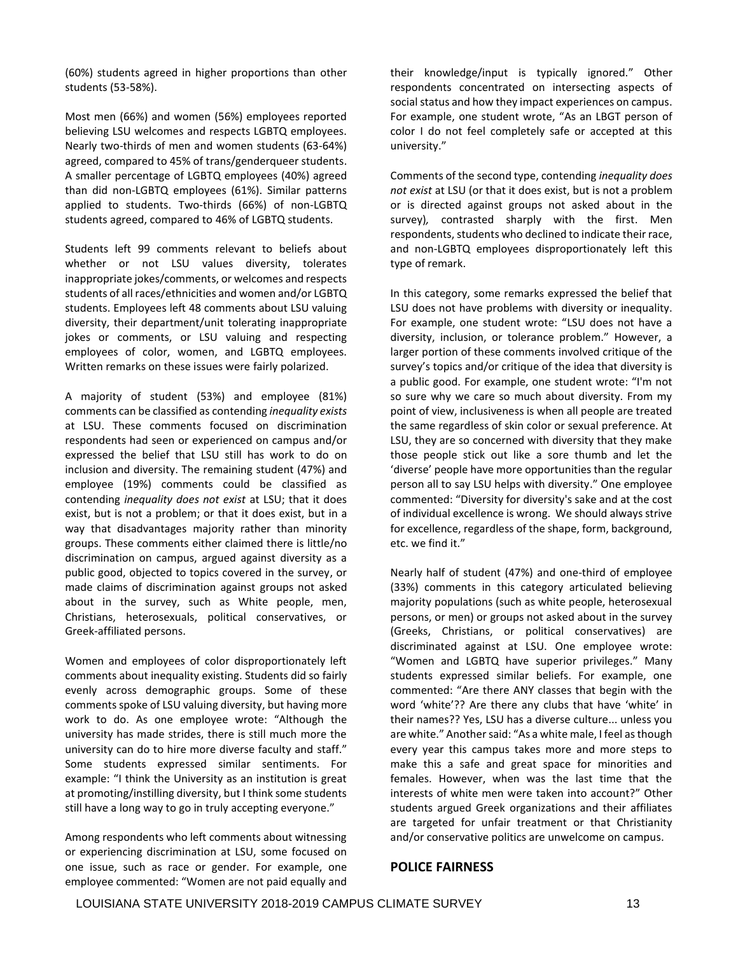(60%) students agreed in higher proportions than other students (53-58%).

Most men (66%) and women (56%) employees reported believing LSU welcomes and respects LGBTQ employees. Nearly two-thirds of men and women students (63-64%) agreed, compared to 45% of trans/genderqueer students. A smaller percentage of LGBTQ employees (40%) agreed than did non-LGBTQ employees (61%). Similar patterns applied to students. Two-thirds (66%) of non-LGBTQ students agreed, compared to 46% of LGBTQ students.

Students left 99 comments relevant to beliefs about whether or not LSU values diversity, tolerates inappropriate jokes/comments, or welcomes and respects students of all races/ethnicities and women and/or LGBTQ students. Employees left 48 comments about LSU valuing diversity, their department/unit tolerating inappropriate jokes or comments, or LSU valuing and respecting employees of color, women, and LGBTQ employees. Written remarks on these issues were fairly polarized.

A majority of student (53%) and employee (81%) comments can be classified as contending *inequality exists*  at LSU. These comments focused on discrimination respondents had seen or experienced on campus and/or expressed the belief that LSU still has work to do on inclusion and diversity. The remaining student (47%) and employee (19%) comments could be classified as contending *inequality does not exist* at LSU; that it does exist, but is not a problem; or that it does exist, but in a way that disadvantages majority rather than minority groups. These comments either claimed there is little/no discrimination on campus, argued against diversity as a public good, objected to topics covered in the survey, or made claims of discrimination against groups not asked about in the survey, such as White people, men, Christians, heterosexuals, political conservatives, or Greek-affiliated persons.

 example: "I think the University as an institution is great Women and employees of color disproportionately left comments about inequality existing. Students did so fairly evenly across demographic groups. Some of these comments spoke of LSU valuing diversity, but having more work to do. As one employee wrote: "Although the university has made strides, there is still much more the university can do to hire more diverse faculty and staff." Some students expressed similar sentiments. For at promoting/instilling diversity, but I think some students still have a long way to go in truly accepting everyone."

Among respondents who left comments about witnessing or experiencing discrimination at LSU, some focused on one issue, such as race or gender. For example, one employee commented: "Women are not paid equally and

their knowledge/input is typically ignored." Other respondents concentrated on intersecting aspects of social status and how they impact experiences on campus. For example, one student wrote, "As an LBGT person of color I do not feel completely safe or accepted at this university."

Comments of the second type, contending *inequality does not exist* at LSU (or that it does exist, but is not a problem or is directed against groups not asked about in the survey)*,* contrasted sharply with the first. Men respondents, students who declined to indicate their race, and non-LGBTQ employees disproportionately left this type of remark.

 For example, one student wrote: "LSU does not have a diversity, inclusion, or tolerance problem." However, a In this category, some remarks expressed the belief that LSU does not have problems with diversity or inequality. larger portion of these comments involved critique of the survey's topics and/or critique of the idea that diversity is a public good. For example, one student wrote: "I'm not so sure why we care so much about diversity. From my point of view, inclusiveness is when all people are treated the same regardless of skin color or sexual preference. At LSU, they are so concerned with diversity that they make those people stick out like a sore thumb and let the 'diverse' people have more opportunities than the regular person all to say LSU helps with diversity." One employee commented: "Diversity for diversity's sake and at the cost of individual excellence is wrong. We should always strive for excellence, regardless of the shape, form, background, etc. we find it."

 "Women and LGBTQ have superior privileges." Many Nearly half of student (47%) and one-third of employee (33%) comments in this category articulated believing majority populations (such as white people, heterosexual persons, or men) or groups not asked about in the survey (Greeks, Christians, or political conservatives) are discriminated against at LSU. One employee wrote: students expressed similar beliefs. For example, one commented: "Are there ANY classes that begin with the word 'white'?? Are there any clubs that have 'white' in their names?? Yes, LSU has a diverse culture... unless you are white." Another said: "As a white male, I feel as though every year this campus takes more and more steps to make this a safe and great space for minorities and females. However, when was the last time that the interests of white men were taken into account?" Other students argued Greek organizations and their affiliates are targeted for unfair treatment or that Christianity and/or conservative politics are unwelcome on campus.

# **POLICE FAIRNESS**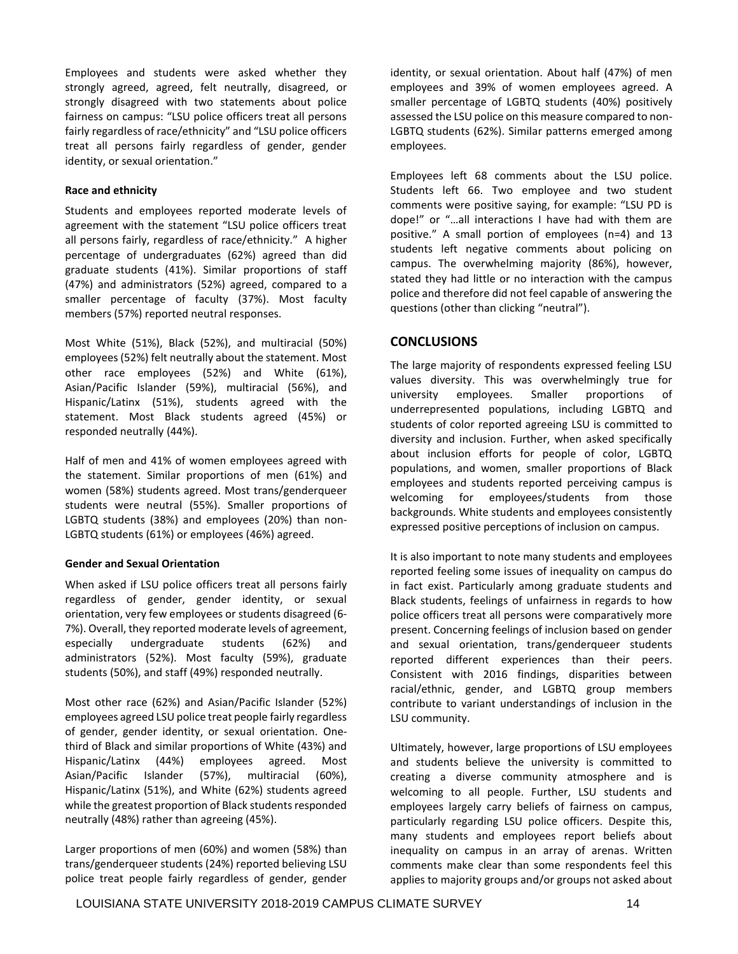fairness on campus: "LSU police officers treat all persons fairly regardless of race/ethnicity" and "LSU police officers Employees and students were asked whether they strongly agreed, agreed, felt neutrally, disagreed, or strongly disagreed with two statements about police treat all persons fairly regardless of gender, gender identity, or sexual orientation."

# **Race and ethnicity**

 agreement with the statement "LSU police officers treat Students and employees reported moderate levels of all persons fairly, regardless of race/ethnicity." A higher percentage of undergraduates (62%) agreed than did graduate students (41%). Similar proportions of staff (47%) and administrators (52%) agreed, compared to a smaller percentage of faculty (37%). Most faculty members (57%) reported neutral responses.

Most White (51%), Black (52%), and multiracial (50%) employees (52%) felt neutrally about the statement. Most other race employees (52%) and White (61%), Asian/Pacific Islander (59%), multiracial (56%), and Hispanic/Latinx (51%), students agreed with the statement. Most Black students agreed (45%) or responded neutrally (44%).

Half of men and 41% of women employees agreed with the statement. Similar proportions of men (61%) and women (58%) students agreed. Most trans/genderqueer students were neutral (55%). Smaller proportions of LGBTQ students (38%) and employees (20%) than non-LGBTQ students (61%) or employees (46%) agreed.

# **Gender and Sexual Orientation**

When asked if LSU police officers treat all persons fairly regardless of gender, gender identity, or sexual orientation, very few employees or students disagreed (6- 7%). Overall, they reported moderate levels of agreement, especially undergraduate students (62%) and administrators (52%). Most faculty (59%), graduate students (50%), and staff (49%) responded neutrally.

Most other race (62%) and Asian/Pacific Islander (52%) employees agreed LSU police treat people fairly regardless of gender, gender identity, or sexual orientation. Onethird of Black and similar proportions of White (43%) and Hispanic/Latinx (44%) employees agreed. Most Asian/Pacific Islander (57%), multiracial (60%), Hispanic/Latinx (51%), and White (62%) students agreed while the greatest proportion of Black students responded neutrally (48%) rather than agreeing (45%).

Larger proportions of men (60%) and women (58%) than trans/genderqueer students (24%) reported believing LSU police treat people fairly regardless of gender, gender identity, or sexual orientation. About half (47%) of men employees and 39% of women employees agreed. A smaller percentage of LGBTQ students (40%) positively assessed the LSU police on this measure compared to non-LGBTQ students (62%). Similar patterns emerged among employees.

Employees left 68 comments about the LSU police. Students left 66. Two employee and two student comments were positive saying, for example: "LSU PD is dope!" or "…all interactions I have had with them are positive." A small portion of employees (n=4) and 13 students left negative comments about policing on campus. The overwhelming majority (86%), however, stated they had little or no interaction with the campus police and therefore did not feel capable of answering the questions (other than clicking "neutral").

# **CONCLUSIONS**

The large majority of respondents expressed feeling LSU values diversity. This was overwhelmingly true for university employees. Smaller proportions of underrepresented populations, including LGBTQ and students of color reported agreeing LSU is committed to diversity and inclusion. Further, when asked specifically about inclusion efforts for people of color, LGBTQ populations, and women, smaller proportions of Black employees and students reported perceiving campus is welcoming for employees/students from those backgrounds. White students and employees consistently expressed positive perceptions of inclusion on campus.

It is also important to note many students and employees reported feeling some issues of inequality on campus do in fact exist. Particularly among graduate students and Black students, feelings of unfairness in regards to how police officers treat all persons were comparatively more present. Concerning feelings of inclusion based on gender and sexual orientation, trans/genderqueer students reported different experiences than their peers. Consistent with 2016 findings, disparities between racial/ethnic, gender, and LGBTQ group members contribute to variant understandings of inclusion in the LSU community.

Ultimately, however, large proportions of LSU employees and students believe the university is committed to creating a diverse community atmosphere and is welcoming to all people. Further, LSU students and employees largely carry beliefs of fairness on campus, particularly regarding LSU police officers. Despite this, many students and employees report beliefs about inequality on campus in an array of arenas. Written comments make clear than some respondents feel this applies to majority groups and/or groups not asked about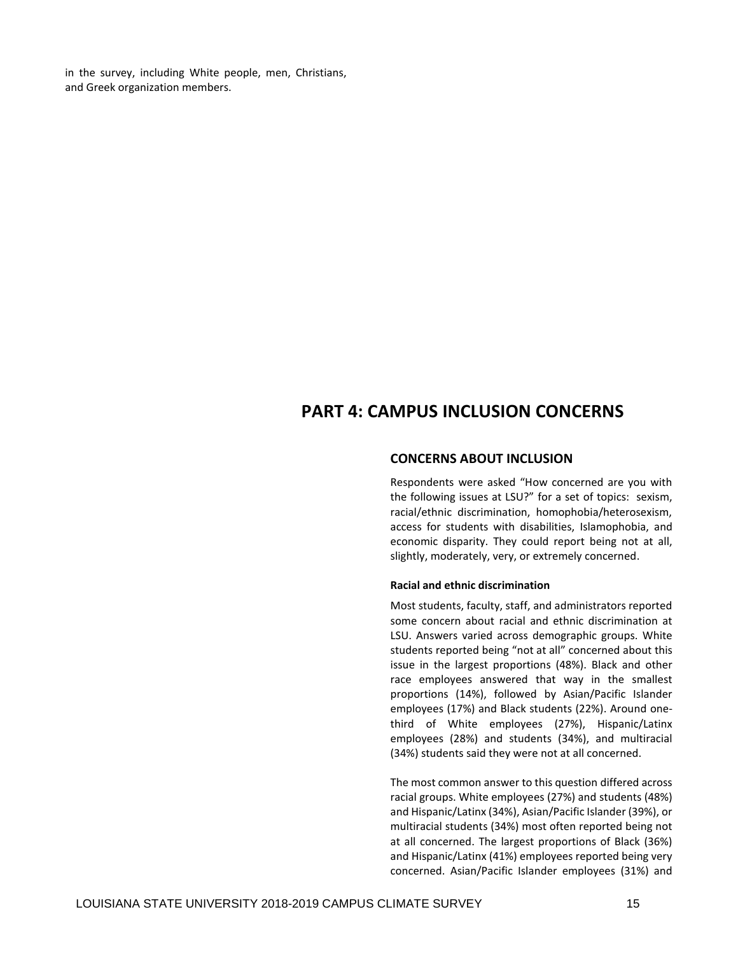in the survey, including White people, men, Christians, and Greek organization members.

# **PART 4: CAMPUS INCLUSION CONCERNS**

# **CONCERNS ABOUT INCLUSION**

 Respondents were asked "How concerned are you with the following issues at LSU?" for a set of topics: sexism, racial/ethnic discrimination, homophobia/heterosexism, access for students with disabilities, Islamophobia, and economic disparity. They could report being not at all, slightly, moderately, very, or extremely concerned.

#### **Racial and ethnic discrimination**

Most students, faculty, staff, and administrators reported some concern about racial and ethnic discrimination at LSU. Answers varied across demographic groups. White students reported being "not at all" concerned about this issue in the largest proportions (48%). Black and other race employees answered that way in the smallest proportions (14%), followed by Asian/Pacific Islander employees (17%) and Black students (22%). Around onethird of White employees (27%), Hispanic/Latinx employees (28%) and students (34%), and multiracial (34%) students said they were not at all concerned.

The most common answer to this question differed across racial groups. White employees (27%) and students (48%) and Hispanic/Latinx (34%), Asian/Pacific Islander (39%), or multiracial students (34%) most often reported being not at all concerned. The largest proportions of Black (36%) and Hispanic/Latinx (41%) employees reported being very concerned. Asian/Pacific Islander employees (31%) and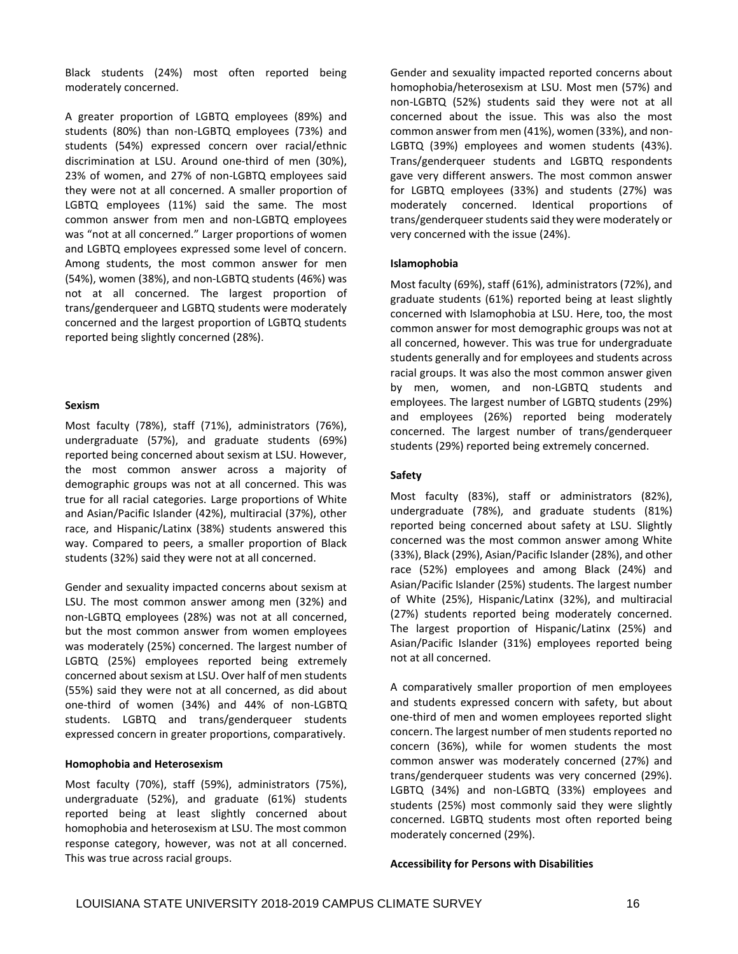Black students (24%) most often reported being moderately concerned.

A greater proportion of LGBTQ employees (89%) and students (80%) than non-LGBTQ employees (73%) and students (54%) expressed concern over racial/ethnic discrimination at LSU. Around one-third of men (30%), 23% of women, and 27% of non-LGBTQ employees said they were not at all concerned. A smaller proportion of LGBTQ employees (11%) said the same. The most common answer from men and non-LGBTQ employees was "not at all concerned." Larger proportions of women and LGBTQ employees expressed some level of concern. Among students, the most common answer for men (54%), women (38%), and non-LGBTQ students (46%) was not at all concerned. The largest proportion of trans/genderqueer and LGBTQ students were moderately concerned and the largest proportion of LGBTQ students reported being slightly concerned (28%).

#### **Sexism**

Most faculty (78%), staff (71%), administrators (76%), undergraduate (57%), and graduate students (69%) reported being concerned about sexism at LSU. However, the most common answer across a majority of demographic groups was not at all concerned. This was true for all racial categories. Large proportions of White and Asian/Pacific Islander (42%), multiracial (37%), other race, and Hispanic/Latinx (38%) students answered this way. Compared to peers, a smaller proportion of Black students (32%) said they were not at all concerned.

Gender and sexuality impacted concerns about sexism at LSU. The most common answer among men (32%) and non-LGBTQ employees (28%) was not at all concerned, but the most common answer from women employees was moderately (25%) concerned. The largest number of LGBTQ (25%) employees reported being extremely concerned about sexism at LSU. Over half of men students (55%) said they were not at all concerned, as did about one-third of women (34%) and 44% of non-LGBTQ students. LGBTQ and trans/genderqueer students expressed concern in greater proportions, comparatively.

#### **Homophobia and Heterosexism**

Most faculty (70%), staff (59%), administrators (75%), undergraduate (52%), and graduate (61%) students reported being at least slightly concerned about homophobia and heterosexism at LSU. The most common response category, however, was not at all concerned. This was true across racial groups.

Gender and sexuality impacted reported concerns about homophobia/heterosexism at LSU. Most men (57%) and non-LGBTQ (52%) students said they were not at all concerned about the issue. This was also the most common answer from men (41%), women (33%), and non-LGBTQ (39%) employees and women students (43%). Trans/genderqueer students and LGBTQ respondents gave very different answers. The most common answer for LGBTQ employees (33%) and students (27%) was moderately concerned. Identical proportions of trans/genderqueer students said they were moderately or very concerned with the issue (24%).

#### **Islamophobia**

Most faculty (69%), staff (61%), administrators (72%), and graduate students (61%) reported being at least slightly concerned with Islamophobia at LSU. Here, too, the most common answer for most demographic groups was not at all concerned, however. This was true for undergraduate students generally and for employees and students across racial groups. It was also the most common answer given by men, women, and non-LGBTQ students and employees. The largest number of LGBTQ students (29%) and employees (26%) reported being moderately concerned. The largest number of trans/genderqueer students (29%) reported being extremely concerned.

#### **Safety**

Most faculty (83%), staff or administrators (82%), undergraduate (78%), and graduate students (81%) reported being concerned about safety at LSU. Slightly concerned was the most common answer among White (33%), Black (29%), Asian/Pacific Islander (28%), and other race (52%) employees and among Black (24%) and Asian/Pacific Islander (25%) students. The largest number of White (25%), Hispanic/Latinx (32%), and multiracial (27%) students reported being moderately concerned. The largest proportion of Hispanic/Latinx (25%) and Asian/Pacific Islander (31%) employees reported being not at all concerned.

A comparatively smaller proportion of men employees and students expressed concern with safety, but about one-third of men and women employees reported slight concern. The largest number of men students reported no concern (36%), while for women students the most common answer was moderately concerned (27%) and trans/genderqueer students was very concerned (29%). LGBTQ (34%) and non-LGBTQ (33%) employees and students (25%) most commonly said they were slightly concerned. LGBTQ students most often reported being moderately concerned (29%).

#### **Accessibility for Persons with Disabilities**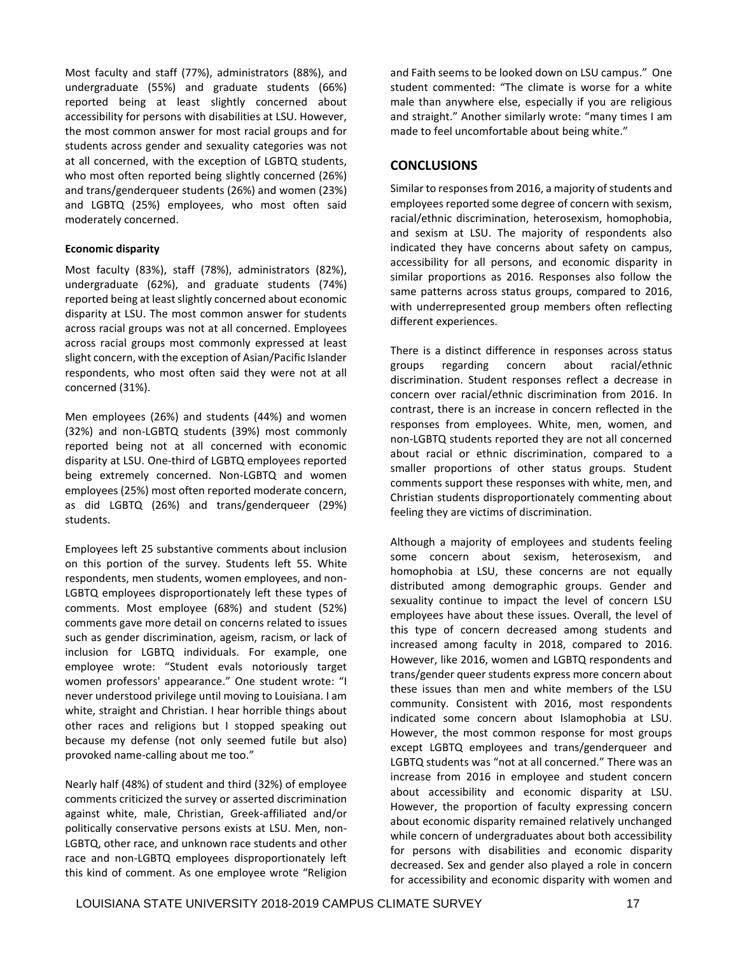Most faculty and staff (77%), administrators (88%), and undergraduate (55%) and graduate students (66%) reported being at least slightly concerned about accessibility for persons with disabilities at LSU. However, the most common answer for most racial groups and for students across gender and sexuality categories was not at all concerned, with the exception of LGBTQ students, who most often reported being slightly concerned (26%) and trans/genderqueer students (26%) and women (23%) and LGBTQ (25%) employees, who most often said moderately concerned.

# **Economic disparity**

Most faculty (83%), staff (78%), administrators (82%), undergraduate (62%), and graduate students (74%) reported being at least slightly concerned about economic disparity at LSU. The most common answer for students across racial groups was not at all concerned. Employees across racial groups most commonly expressed at least slight concern, with the exception of Asian/Pacific Islander respondents, who most often said they were not at all concerned (31%).

Men employees (26%) and students (44%) and women (32%) and non-LGBTQ students (39%) most commonly reported being not at all concerned with economic disparity at LSU. One-third of LGBTQ employees reported being extremely concerned. Non-LGBTQ and women employees (25%) most often reported moderate concern, as did LGBTQ (26%) and trans/genderqueer (29%) students.

 employee wrote: "Student evals notoriously target women professors' appearance." One student wrote: "I Employees left 25 substantive comments about inclusion on this portion of the survey. Students left 55. White respondents, men students, women employees, and non-LGBTQ employees disproportionately left these types of comments. Most employee (68%) and student (52%) comments gave more detail on concerns related to issues such as gender discrimination, ageism, racism, or lack of inclusion for LGBTQ individuals. For example, one never understood privilege until moving to Louisiana. I am white, straight and Christian. I hear horrible things about other races and religions but I stopped speaking out because my defense (not only seemed futile but also) provoked name-calling about me too."

Nearly half (48%) of student and third (32%) of employee comments criticized the survey or asserted discrimination against white, male, Christian, Greek-affiliated and/or politically conservative persons exists at LSU. Men, non-LGBTQ, other race, and unknown race students and other race and non-LGBTQ employees disproportionately left this kind of comment. As one employee wrote "Religion and Faith seems to be looked down on LSU campus." One student commented: "The climate is worse for a white male than anywhere else, especially if you are religious and straight." Another similarly wrote: "many times I am made to feel uncomfortable about being white."

# **CONCLUSIONS**

Similar to responses from 2016, a majority of students and employees reported some degree of concern with sexism, racial/ethnic discrimination, heterosexism, homophobia, and sexism at LSU. The majority of respondents also indicated they have concerns about safety on campus, accessibility for all persons, and economic disparity in similar proportions as 2016. Responses also follow the same patterns across status groups, compared to 2016, with underrepresented group members often reflecting different experiences.

There is a distinct difference in responses across status groups regarding concern about racial/ethnic discrimination. Student responses reflect a decrease in concern over racial/ethnic discrimination from 2016. In contrast, there is an increase in concern reflected in the responses from employees. White, men, women, and non-LGBTQ students reported they are not all concerned about racial or ethnic discrimination, compared to a smaller proportions of other status groups. Student comments support these responses with white, men, and Christian students disproportionately commenting about feeling they are victims of discrimination.

Although a majority of employees and students feeling some concern about sexism, heterosexism, and homophobia at LSU, these concerns are not equally distributed among demographic groups. Gender and sexuality continue to impact the level of concern LSU employees have about these issues. Overall, the level of this type of concern decreased among students and increased among faculty in 2018, compared to 2016. However, like 2016, women and LGBTQ respondents and trans/gender queer students express more concern about these issues than men and white members of the LSU community. Consistent with 2016, most respondents indicated some concern about Islamophobia at LSU. However, the most common response for most groups except LGBTQ employees and trans/genderqueer and LGBTQ students was "not at all concerned." There was an increase from 2016 in employee and student concern about accessibility and economic disparity at LSU. However, the proportion of faculty expressing concern about economic disparity remained relatively unchanged while concern of undergraduates about both accessibility for persons with disabilities and economic disparity decreased. Sex and gender also played a role in concern for accessibility and economic disparity with women and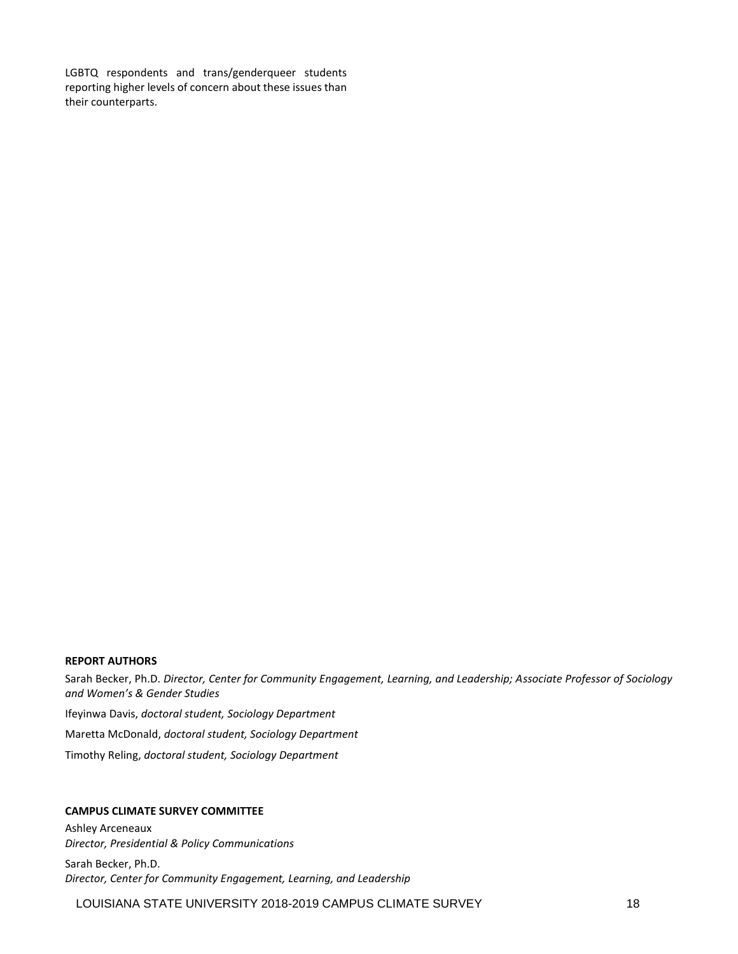LGBTQ respondents and trans/genderqueer students reporting higher levels of concern about these issues than their counterparts.

#### **REPORT AUTHORS**

Sarah Becker, Ph.D. *Director, Center for Community Engagement, Learning, and Leadership; Associate Professor of Sociology and Women's & Gender Studies* Ifeyinwa Davis, *doctoral student, Sociology Department*  Maretta McDonald, *doctoral student, Sociology Department*  Timothy Reling, *doctoral student, Sociology Department* 

# **CAMPUS CLIMATE SURVEY COMMITTEE**

Ashley Arceneaux *Director, Presidential & Policy Communications* 

Sarah Becker, Ph.D. *Director, Center for Community Engagement, Learning, and Leadership*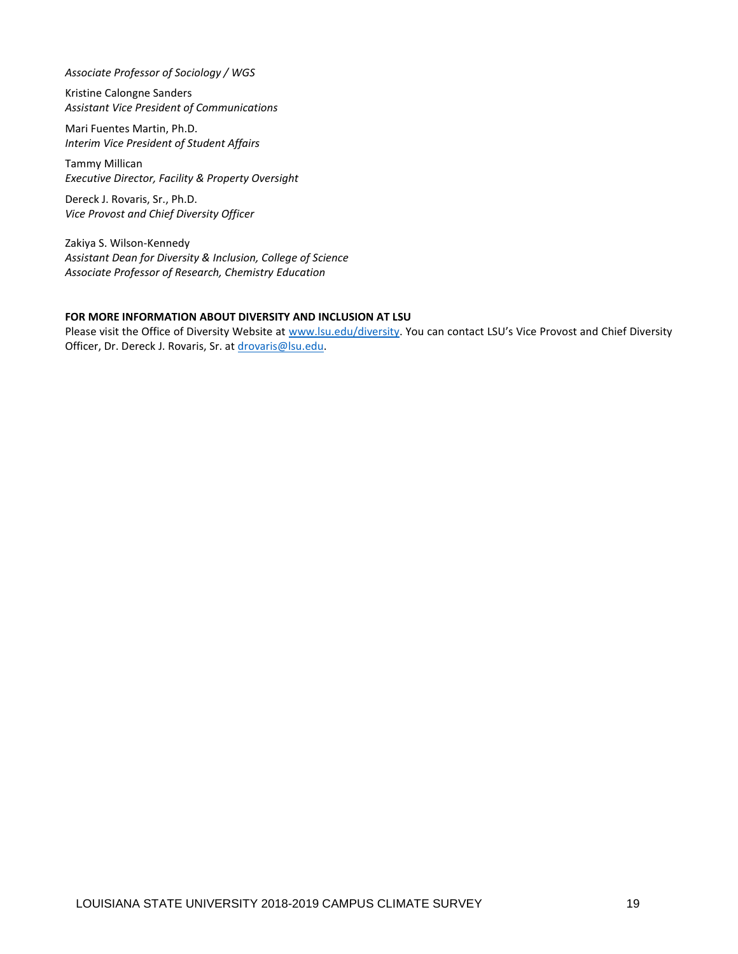*Associate Professor of Sociology / WGS* 

Kristine Calongne Sanders *Assistant Vice President of Communications* 

Mari Fuentes Martin, Ph.D. *Interim Vice President of Student Affairs* 

Tammy Millican *Executive Director, Facility & Property Oversight* 

Dereck J. Rovaris, Sr., Ph.D. *Vice Provost and Chief Diversity Officer* 

Zakiya S. Wilson-Kennedy *Assistant Dean for Diversity & Inclusion, College of Science Associate Professor of Research, Chemistry Education* 

# **FOR MORE INFORMATION ABOUT DIVERSITY AND INCLUSION AT LSU**

Please visit the Office of Diversity Website at [www.lsu.edu/diversity.](http://www.lsu.edu/diversity) You can contact LSU's Vice Provost and Chief Diversity Officer, Dr. Dereck J. Rovaris, Sr. at [drovaris@lsu.edu.](mailto:drovaris@lsu.edu)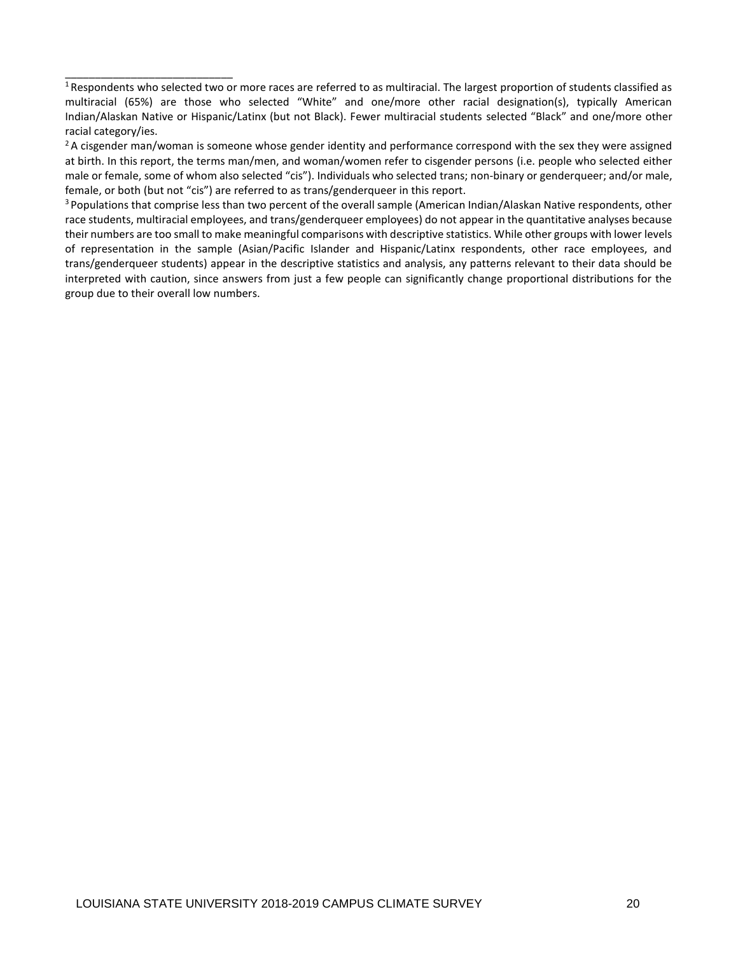\_\_\_\_\_\_\_\_\_\_\_\_\_\_\_\_\_\_\_\_\_\_\_\_\_\_\_\_

race students, multiracial employees, and trans/genderqueer employees) do not appear in the quantitative analyses because their numbers are too small to make meaningful comparisons with descriptive statistics. While other groups with lower levels of representation in the sample (Asian/Pacific Islander and Hispanic/Latinx respondents, other race employees, and trans/genderqueer students) appear in the descriptive statistics and analysis, any patterns relevant to their data should be interpreted with caution, since answers from just a few people can significantly change proportional distributions for the group due to their overall low numbers.

 multiracial (65%) are those who selected "White" and one/more other racial designation(s), typically American Indian/Alaskan Native or Hispanic/Latinx (but not Black). Fewer multiracial students selected "Black" and one/more other  $1$ Respondents who selected two or more races are referred to as multiracial. The largest proportion of students classified as racial category/ies.<br><sup>2</sup> A cisgender man/woman is someone whose gender identity and performance correspond with the sex they were assigned

at birth. In this report, the terms man/men, and woman/women refer to cisgender persons (i.e. people who selected either male or female, some of whom also selected "cis"). Individuals who selected trans; non-binary or genderqueer; and/or male, female, or both (but not "cis") are referred to as trans/genderqueer in this report.<br><sup>3</sup> Populations that comprise less than two percent of the overall sample (American Indian/Alaskan Native respondents, other